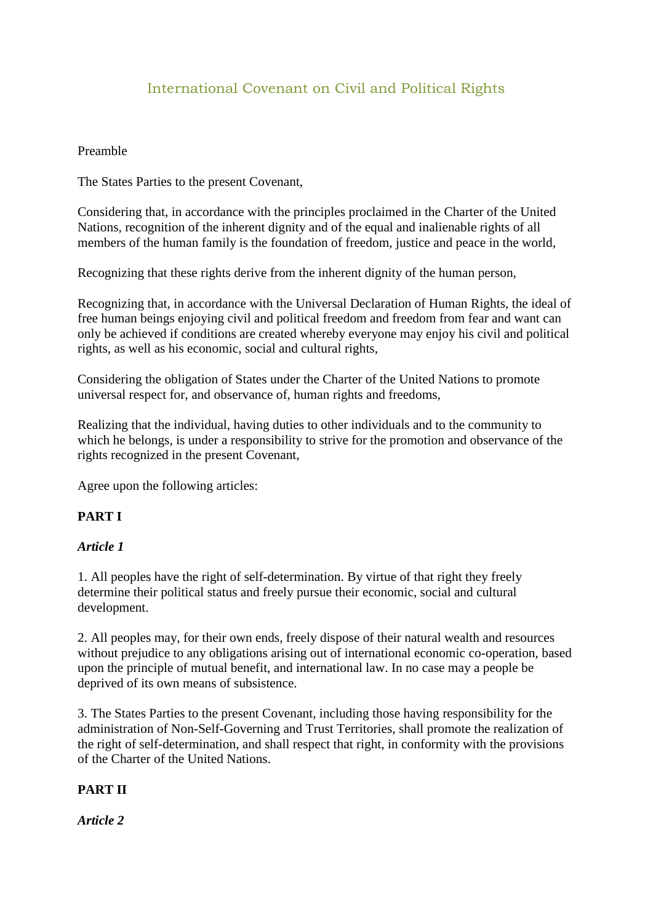# International Covenant on Civil and Political Rights

#### Preamble

The States Parties to the present Covenant,

Considering that, in accordance with the principles proclaimed in the Charter of the United Nations, recognition of the inherent dignity and of the equal and inalienable rights of all members of the human family is the foundation of freedom, justice and peace in the world,

Recognizing that these rights derive from the inherent dignity of the human person,

Recognizing that, in accordance with the Universal Declaration of Human Rights, the ideal of free human beings enjoying civil and political freedom and freedom from fear and want can only be achieved if conditions are created whereby everyone may enjoy his civil and political rights, as well as his economic, social and cultural rights,

Considering the obligation of States under the Charter of the United Nations to promote universal respect for, and observance of, human rights and freedoms,

Realizing that the individual, having duties to other individuals and to the community to which he belongs, is under a responsibility to strive for the promotion and observance of the rights recognized in the present Covenant,

Agree upon the following articles:

## **PART I**

### *Article 1*

1. All peoples have the right of self-determination. By virtue of that right they freely determine their political status and freely pursue their economic, social and cultural development.

2. All peoples may, for their own ends, freely dispose of their natural wealth and resources without prejudice to any obligations arising out of international economic co-operation, based upon the principle of mutual benefit, and international law. In no case may a people be deprived of its own means of subsistence.

3. The States Parties to the present Covenant, including those having responsibility for the administration of Non-Self-Governing and Trust Territories, shall promote the realization of the right of self-determination, and shall respect that right, in conformity with the provisions of the Charter of the United Nations.

### **PART II**

*Article 2*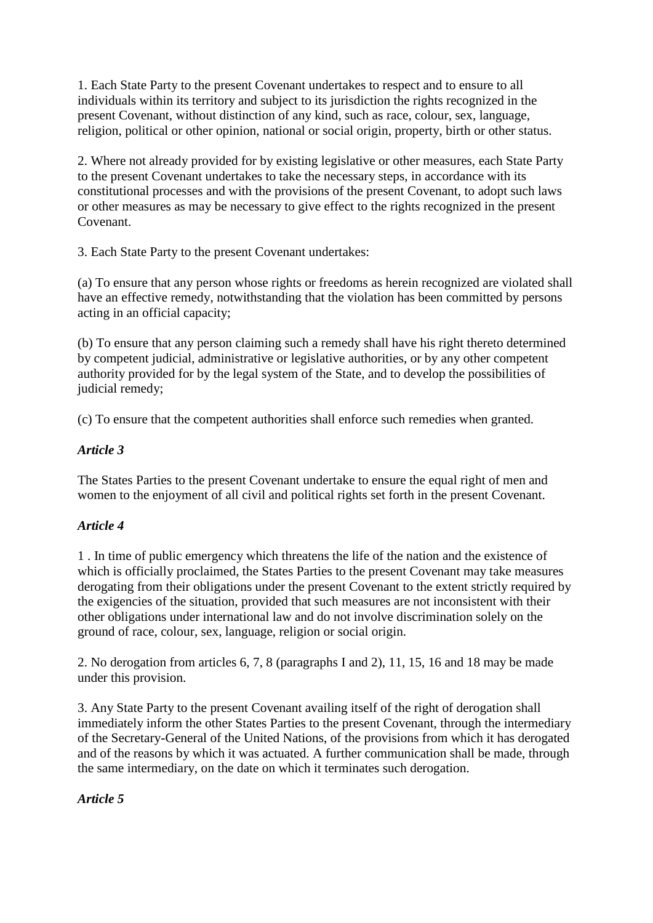1. Each State Party to the present Covenant undertakes to respect and to ensure to all individuals within its territory and subject to its jurisdiction the rights recognized in the present Covenant, without distinction of any kind, such as race, colour, sex, language, religion, political or other opinion, national or social origin, property, birth or other status.

2. Where not already provided for by existing legislative or other measures, each State Party to the present Covenant undertakes to take the necessary steps, in accordance with its constitutional processes and with the provisions of the present Covenant, to adopt such laws or other measures as may be necessary to give effect to the rights recognized in the present Covenant.

3. Each State Party to the present Covenant undertakes:

(a) To ensure that any person whose rights or freedoms as herein recognized are violated shall have an effective remedy, notwithstanding that the violation has been committed by persons acting in an official capacity;

(b) To ensure that any person claiming such a remedy shall have his right thereto determined by competent judicial, administrative or legislative authorities, or by any other competent authority provided for by the legal system of the State, and to develop the possibilities of judicial remedy;

(c) To ensure that the competent authorities shall enforce such remedies when granted.

## *Article 3*

The States Parties to the present Covenant undertake to ensure the equal right of men and women to the enjoyment of all civil and political rights set forth in the present Covenant.

## *Article 4*

1 . In time of public emergency which threatens the life of the nation and the existence of which is officially proclaimed, the States Parties to the present Covenant may take measures derogating from their obligations under the present Covenant to the extent strictly required by the exigencies of the situation, provided that such measures are not inconsistent with their other obligations under international law and do not involve discrimination solely on the ground of race, colour, sex, language, religion or social origin.

2. No derogation from articles 6, 7, 8 (paragraphs I and 2), 11, 15, 16 and 18 may be made under this provision.

3. Any State Party to the present Covenant availing itself of the right of derogation shall immediately inform the other States Parties to the present Covenant, through the intermediary of the Secretary-General of the United Nations, of the provisions from which it has derogated and of the reasons by which it was actuated. A further communication shall be made, through the same intermediary, on the date on which it terminates such derogation.

## *Article 5*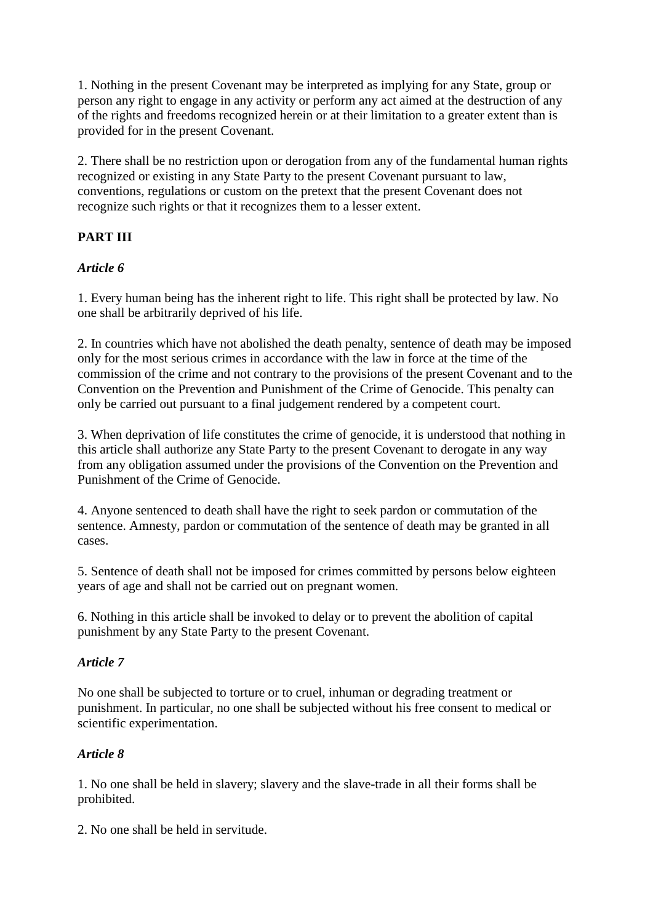1. Nothing in the present Covenant may be interpreted as implying for any State, group or person any right to engage in any activity or perform any act aimed at the destruction of any of the rights and freedoms recognized herein or at their limitation to a greater extent than is provided for in the present Covenant.

2. There shall be no restriction upon or derogation from any of the fundamental human rights recognized or existing in any State Party to the present Covenant pursuant to law, conventions, regulations or custom on the pretext that the present Covenant does not recognize such rights or that it recognizes them to a lesser extent.

## **PART III**

## *Article 6*

1. Every human being has the inherent right to life. This right shall be protected by law. No one shall be arbitrarily deprived of his life.

2. In countries which have not abolished the death penalty, sentence of death may be imposed only for the most serious crimes in accordance with the law in force at the time of the commission of the crime and not contrary to the provisions of the present Covenant and to the Convention on the Prevention and Punishment of the Crime of Genocide. This penalty can only be carried out pursuant to a final judgement rendered by a competent court.

3. When deprivation of life constitutes the crime of genocide, it is understood that nothing in this article shall authorize any State Party to the present Covenant to derogate in any way from any obligation assumed under the provisions of the Convention on the Prevention and Punishment of the Crime of Genocide.

4. Anyone sentenced to death shall have the right to seek pardon or commutation of the sentence. Amnesty, pardon or commutation of the sentence of death may be granted in all cases.

5. Sentence of death shall not be imposed for crimes committed by persons below eighteen years of age and shall not be carried out on pregnant women.

6. Nothing in this article shall be invoked to delay or to prevent the abolition of capital punishment by any State Party to the present Covenant.

## *Article 7*

No one shall be subjected to torture or to cruel, inhuman or degrading treatment or punishment. In particular, no one shall be subjected without his free consent to medical or scientific experimentation.

### *Article 8*

1. No one shall be held in slavery; slavery and the slave-trade in all their forms shall be prohibited.

2. No one shall be held in servitude.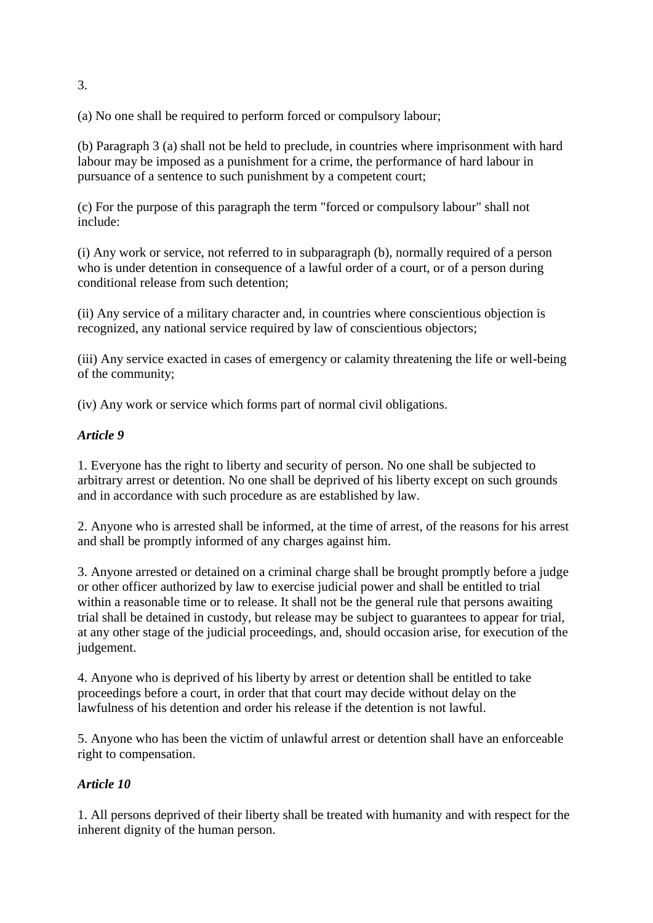(a) No one shall be required to perform forced or compulsory labour;

(b) Paragraph 3 (a) shall not be held to preclude, in countries where imprisonment with hard labour may be imposed as a punishment for a crime, the performance of hard labour in pursuance of a sentence to such punishment by a competent court;

(c) For the purpose of this paragraph the term "forced or compulsory labour" shall not include:

(i) Any work or service, not referred to in subparagraph (b), normally required of a person who is under detention in consequence of a lawful order of a court, or of a person during conditional release from such detention;

(ii) Any service of a military character and, in countries where conscientious objection is recognized, any national service required by law of conscientious objectors;

(iii) Any service exacted in cases of emergency or calamity threatening the life or well-being of the community;

(iv) Any work or service which forms part of normal civil obligations.

#### *Article 9*

1. Everyone has the right to liberty and security of person. No one shall be subjected to arbitrary arrest or detention. No one shall be deprived of his liberty except on such grounds and in accordance with such procedure as are established by law.

2. Anyone who is arrested shall be informed, at the time of arrest, of the reasons for his arrest and shall be promptly informed of any charges against him.

3. Anyone arrested or detained on a criminal charge shall be brought promptly before a judge or other officer authorized by law to exercise judicial power and shall be entitled to trial within a reasonable time or to release. It shall not be the general rule that persons awaiting trial shall be detained in custody, but release may be subject to guarantees to appear for trial, at any other stage of the judicial proceedings, and, should occasion arise, for execution of the judgement.

4. Anyone who is deprived of his liberty by arrest or detention shall be entitled to take proceedings before a court, in order that that court may decide without delay on the lawfulness of his detention and order his release if the detention is not lawful.

5. Anyone who has been the victim of unlawful arrest or detention shall have an enforceable right to compensation.

### *Article 10*

1. All persons deprived of their liberty shall be treated with humanity and with respect for the inherent dignity of the human person.

3.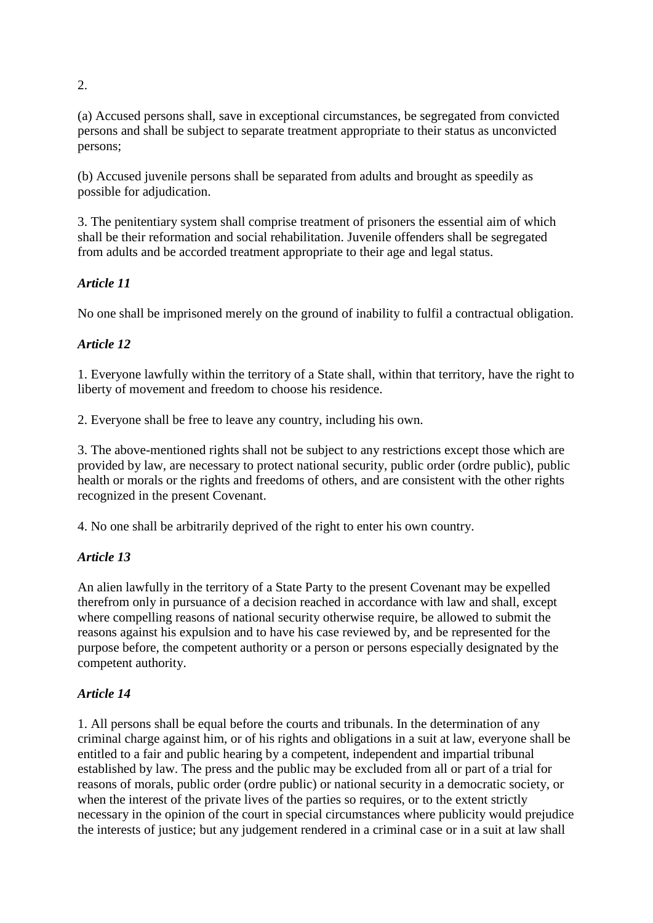2.

(a) Accused persons shall, save in exceptional circumstances, be segregated from convicted persons and shall be subject to separate treatment appropriate to their status as unconvicted persons;

(b) Accused juvenile persons shall be separated from adults and brought as speedily as possible for adjudication.

3. The penitentiary system shall comprise treatment of prisoners the essential aim of which shall be their reformation and social rehabilitation. Juvenile offenders shall be segregated from adults and be accorded treatment appropriate to their age and legal status.

## *Article 11*

No one shall be imprisoned merely on the ground of inability to fulfil a contractual obligation.

## *Article 12*

1. Everyone lawfully within the territory of a State shall, within that territory, have the right to liberty of movement and freedom to choose his residence.

2. Everyone shall be free to leave any country, including his own.

3. The above-mentioned rights shall not be subject to any restrictions except those which are provided by law, are necessary to protect national security, public order (ordre public), public health or morals or the rights and freedoms of others, and are consistent with the other rights recognized in the present Covenant.

4. No one shall be arbitrarily deprived of the right to enter his own country.

### *Article 13*

An alien lawfully in the territory of a State Party to the present Covenant may be expelled therefrom only in pursuance of a decision reached in accordance with law and shall, except where compelling reasons of national security otherwise require, be allowed to submit the reasons against his expulsion and to have his case reviewed by, and be represented for the purpose before, the competent authority or a person or persons especially designated by the competent authority.

### *Article 14*

1. All persons shall be equal before the courts and tribunals. In the determination of any criminal charge against him, or of his rights and obligations in a suit at law, everyone shall be entitled to a fair and public hearing by a competent, independent and impartial tribunal established by law. The press and the public may be excluded from all or part of a trial for reasons of morals, public order (ordre public) or national security in a democratic society, or when the interest of the private lives of the parties so requires, or to the extent strictly necessary in the opinion of the court in special circumstances where publicity would prejudice the interests of justice; but any judgement rendered in a criminal case or in a suit at law shall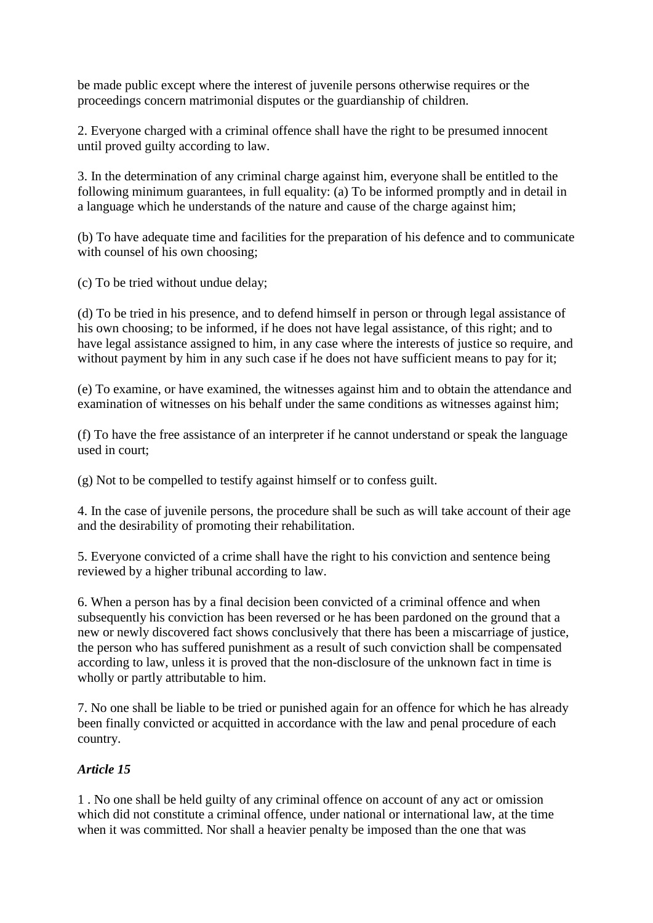be made public except where the interest of juvenile persons otherwise requires or the proceedings concern matrimonial disputes or the guardianship of children.

2. Everyone charged with a criminal offence shall have the right to be presumed innocent until proved guilty according to law.

3. In the determination of any criminal charge against him, everyone shall be entitled to the following minimum guarantees, in full equality: (a) To be informed promptly and in detail in a language which he understands of the nature and cause of the charge against him;

(b) To have adequate time and facilities for the preparation of his defence and to communicate with counsel of his own choosing;

(c) To be tried without undue delay;

(d) To be tried in his presence, and to defend himself in person or through legal assistance of his own choosing; to be informed, if he does not have legal assistance, of this right; and to have legal assistance assigned to him, in any case where the interests of justice so require, and without payment by him in any such case if he does not have sufficient means to pay for it;

(e) To examine, or have examined, the witnesses against him and to obtain the attendance and examination of witnesses on his behalf under the same conditions as witnesses against him;

(f) To have the free assistance of an interpreter if he cannot understand or speak the language used in court;

(g) Not to be compelled to testify against himself or to confess guilt.

4. In the case of juvenile persons, the procedure shall be such as will take account of their age and the desirability of promoting their rehabilitation.

5. Everyone convicted of a crime shall have the right to his conviction and sentence being reviewed by a higher tribunal according to law.

6. When a person has by a final decision been convicted of a criminal offence and when subsequently his conviction has been reversed or he has been pardoned on the ground that a new or newly discovered fact shows conclusively that there has been a miscarriage of justice, the person who has suffered punishment as a result of such conviction shall be compensated according to law, unless it is proved that the non-disclosure of the unknown fact in time is wholly or partly attributable to him.

7. No one shall be liable to be tried or punished again for an offence for which he has already been finally convicted or acquitted in accordance with the law and penal procedure of each country.

### *Article 15*

1 . No one shall be held guilty of any criminal offence on account of any act or omission which did not constitute a criminal offence, under national or international law, at the time when it was committed. Nor shall a heavier penalty be imposed than the one that was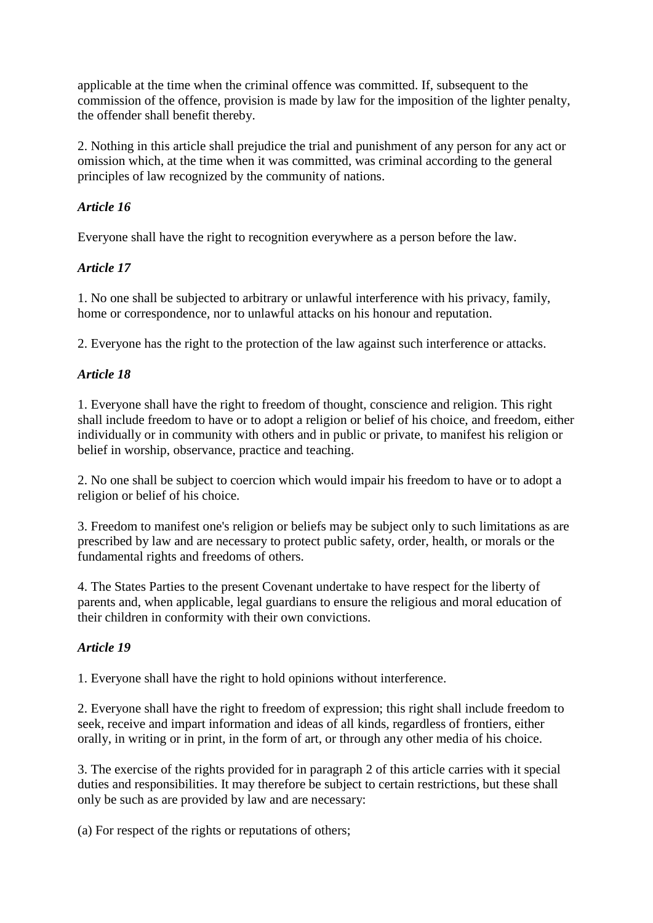applicable at the time when the criminal offence was committed. If, subsequent to the commission of the offence, provision is made by law for the imposition of the lighter penalty, the offender shall benefit thereby.

2. Nothing in this article shall prejudice the trial and punishment of any person for any act or omission which, at the time when it was committed, was criminal according to the general principles of law recognized by the community of nations.

### *Article 16*

Everyone shall have the right to recognition everywhere as a person before the law.

## *Article 17*

1. No one shall be subjected to arbitrary or unlawful interference with his privacy, family, home or correspondence, nor to unlawful attacks on his honour and reputation.

2. Everyone has the right to the protection of the law against such interference or attacks.

## *Article 18*

1. Everyone shall have the right to freedom of thought, conscience and religion. This right shall include freedom to have or to adopt a religion or belief of his choice, and freedom, either individually or in community with others and in public or private, to manifest his religion or belief in worship, observance, practice and teaching.

2. No one shall be subject to coercion which would impair his freedom to have or to adopt a religion or belief of his choice.

3. Freedom to manifest one's religion or beliefs may be subject only to such limitations as are prescribed by law and are necessary to protect public safety, order, health, or morals or the fundamental rights and freedoms of others.

4. The States Parties to the present Covenant undertake to have respect for the liberty of parents and, when applicable, legal guardians to ensure the religious and moral education of their children in conformity with their own convictions.

### *Article 19*

1. Everyone shall have the right to hold opinions without interference.

2. Everyone shall have the right to freedom of expression; this right shall include freedom to seek, receive and impart information and ideas of all kinds, regardless of frontiers, either orally, in writing or in print, in the form of art, or through any other media of his choice.

3. The exercise of the rights provided for in paragraph 2 of this article carries with it special duties and responsibilities. It may therefore be subject to certain restrictions, but these shall only be such as are provided by law and are necessary:

(a) For respect of the rights or reputations of others;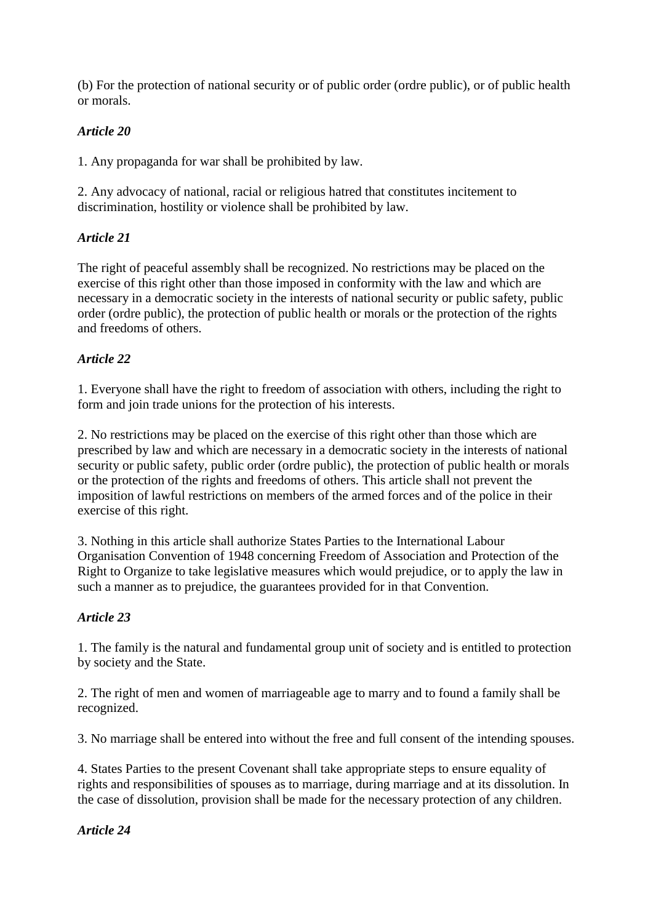(b) For the protection of national security or of public order (ordre public), or of public health or morals.

## *Article 20*

1. Any propaganda for war shall be prohibited by law.

2. Any advocacy of national, racial or religious hatred that constitutes incitement to discrimination, hostility or violence shall be prohibited by law.

## *Article 21*

The right of peaceful assembly shall be recognized. No restrictions may be placed on the exercise of this right other than those imposed in conformity with the law and which are necessary in a democratic society in the interests of national security or public safety, public order (ordre public), the protection of public health or morals or the protection of the rights and freedoms of others.

### *Article 22*

1. Everyone shall have the right to freedom of association with others, including the right to form and join trade unions for the protection of his interests.

2. No restrictions may be placed on the exercise of this right other than those which are prescribed by law and which are necessary in a democratic society in the interests of national security or public safety, public order (ordre public), the protection of public health or morals or the protection of the rights and freedoms of others. This article shall not prevent the imposition of lawful restrictions on members of the armed forces and of the police in their exercise of this right.

3. Nothing in this article shall authorize States Parties to the International Labour Organisation Convention of 1948 concerning Freedom of Association and Protection of the Right to Organize to take legislative measures which would prejudice, or to apply the law in such a manner as to prejudice, the guarantees provided for in that Convention.

### *Article 23*

1. The family is the natural and fundamental group unit of society and is entitled to protection by society and the State.

2. The right of men and women of marriageable age to marry and to found a family shall be recognized.

3. No marriage shall be entered into without the free and full consent of the intending spouses.

4. States Parties to the present Covenant shall take appropriate steps to ensure equality of rights and responsibilities of spouses as to marriage, during marriage and at its dissolution. In the case of dissolution, provision shall be made for the necessary protection of any children.

### *Article 24*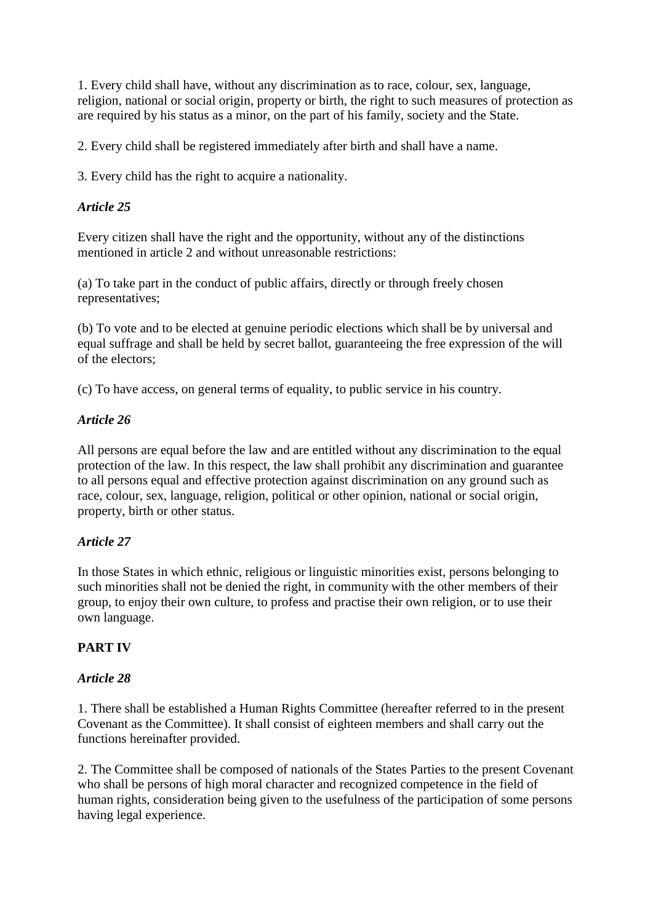1. Every child shall have, without any discrimination as to race, colour, sex, language, religion, national or social origin, property or birth, the right to such measures of protection as are required by his status as a minor, on the part of his family, society and the State.

2. Every child shall be registered immediately after birth and shall have a name.

3. Every child has the right to acquire a nationality.

### *Article 25*

Every citizen shall have the right and the opportunity, without any of the distinctions mentioned in article 2 and without unreasonable restrictions:

(a) To take part in the conduct of public affairs, directly or through freely chosen representatives;

(b) To vote and to be elected at genuine periodic elections which shall be by universal and equal suffrage and shall be held by secret ballot, guaranteeing the free expression of the will of the electors;

(c) To have access, on general terms of equality, to public service in his country.

#### *Article 26*

All persons are equal before the law and are entitled without any discrimination to the equal protection of the law. In this respect, the law shall prohibit any discrimination and guarantee to all persons equal and effective protection against discrimination on any ground such as race, colour, sex, language, religion, political or other opinion, national or social origin, property, birth or other status.

#### *Article 27*

In those States in which ethnic, religious or linguistic minorities exist, persons belonging to such minorities shall not be denied the right, in community with the other members of their group, to enjoy their own culture, to profess and practise their own religion, or to use their own language.

### **PART IV**

#### *Article 28*

1. There shall be established a Human Rights Committee (hereafter referred to in the present Covenant as the Committee). It shall consist of eighteen members and shall carry out the functions hereinafter provided.

2. The Committee shall be composed of nationals of the States Parties to the present Covenant who shall be persons of high moral character and recognized competence in the field of human rights, consideration being given to the usefulness of the participation of some persons having legal experience.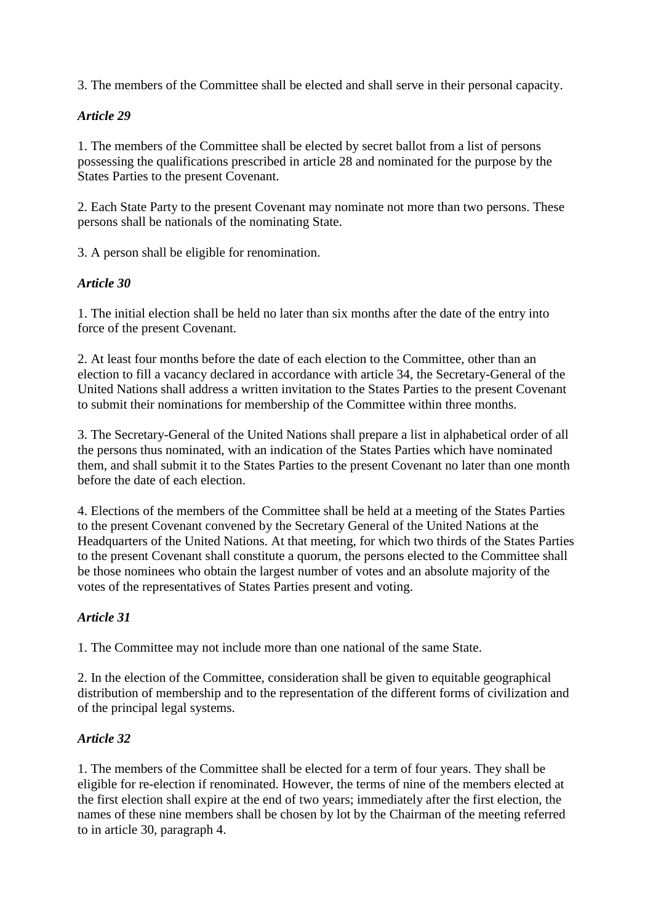3. The members of the Committee shall be elected and shall serve in their personal capacity.

### *Article 29*

1. The members of the Committee shall be elected by secret ballot from a list of persons possessing the qualifications prescribed in article 28 and nominated for the purpose by the States Parties to the present Covenant.

2. Each State Party to the present Covenant may nominate not more than two persons. These persons shall be nationals of the nominating State.

3. A person shall be eligible for renomination.

### *Article 30*

1. The initial election shall be held no later than six months after the date of the entry into force of the present Covenant.

2. At least four months before the date of each election to the Committee, other than an election to fill a vacancy declared in accordance with article 34, the Secretary-General of the United Nations shall address a written invitation to the States Parties to the present Covenant to submit their nominations for membership of the Committee within three months.

3. The Secretary-General of the United Nations shall prepare a list in alphabetical order of all the persons thus nominated, with an indication of the States Parties which have nominated them, and shall submit it to the States Parties to the present Covenant no later than one month before the date of each election.

4. Elections of the members of the Committee shall be held at a meeting of the States Parties to the present Covenant convened by the Secretary General of the United Nations at the Headquarters of the United Nations. At that meeting, for which two thirds of the States Parties to the present Covenant shall constitute a quorum, the persons elected to the Committee shall be those nominees who obtain the largest number of votes and an absolute majority of the votes of the representatives of States Parties present and voting.

### *Article 31*

1. The Committee may not include more than one national of the same State.

2. In the election of the Committee, consideration shall be given to equitable geographical distribution of membership and to the representation of the different forms of civilization and of the principal legal systems.

### *Article 32*

1. The members of the Committee shall be elected for a term of four years. They shall be eligible for re-election if renominated. However, the terms of nine of the members elected at the first election shall expire at the end of two years; immediately after the first election, the names of these nine members shall be chosen by lot by the Chairman of the meeting referred to in article 30, paragraph 4.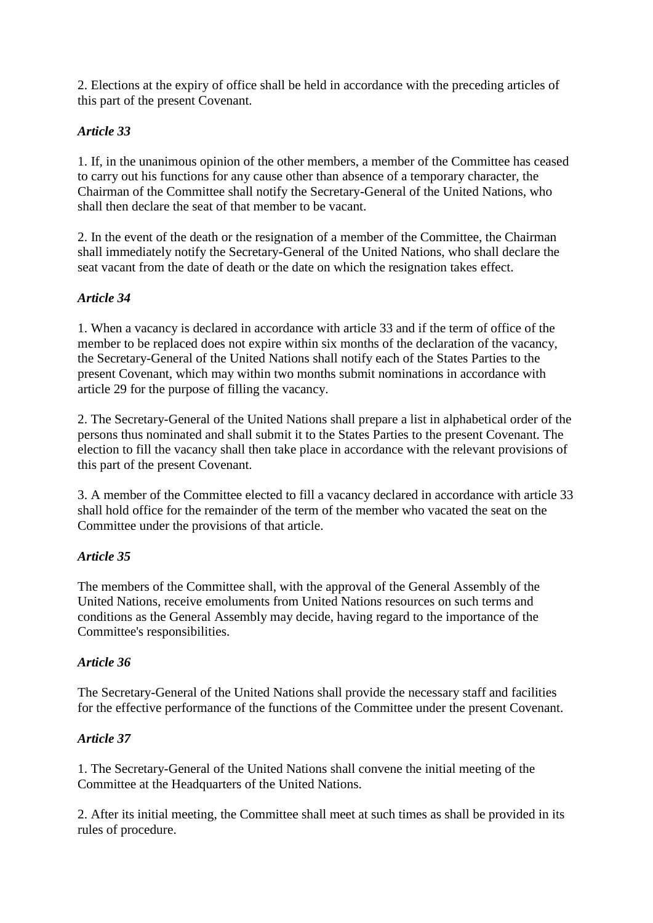2. Elections at the expiry of office shall be held in accordance with the preceding articles of this part of the present Covenant.

## *Article 33*

1. If, in the unanimous opinion of the other members, a member of the Committee has ceased to carry out his functions for any cause other than absence of a temporary character, the Chairman of the Committee shall notify the Secretary-General of the United Nations, who shall then declare the seat of that member to be vacant.

2. In the event of the death or the resignation of a member of the Committee, the Chairman shall immediately notify the Secretary-General of the United Nations, who shall declare the seat vacant from the date of death or the date on which the resignation takes effect.

### *Article 34*

1. When a vacancy is declared in accordance with article 33 and if the term of office of the member to be replaced does not expire within six months of the declaration of the vacancy, the Secretary-General of the United Nations shall notify each of the States Parties to the present Covenant, which may within two months submit nominations in accordance with article 29 for the purpose of filling the vacancy.

2. The Secretary-General of the United Nations shall prepare a list in alphabetical order of the persons thus nominated and shall submit it to the States Parties to the present Covenant. The election to fill the vacancy shall then take place in accordance with the relevant provisions of this part of the present Covenant.

3. A member of the Committee elected to fill a vacancy declared in accordance with article 33 shall hold office for the remainder of the term of the member who vacated the seat on the Committee under the provisions of that article.

### *Article 35*

The members of the Committee shall, with the approval of the General Assembly of the United Nations, receive emoluments from United Nations resources on such terms and conditions as the General Assembly may decide, having regard to the importance of the Committee's responsibilities.

### *Article 36*

The Secretary-General of the United Nations shall provide the necessary staff and facilities for the effective performance of the functions of the Committee under the present Covenant.

#### *Article 37*

1. The Secretary-General of the United Nations shall convene the initial meeting of the Committee at the Headquarters of the United Nations.

2. After its initial meeting, the Committee shall meet at such times as shall be provided in its rules of procedure.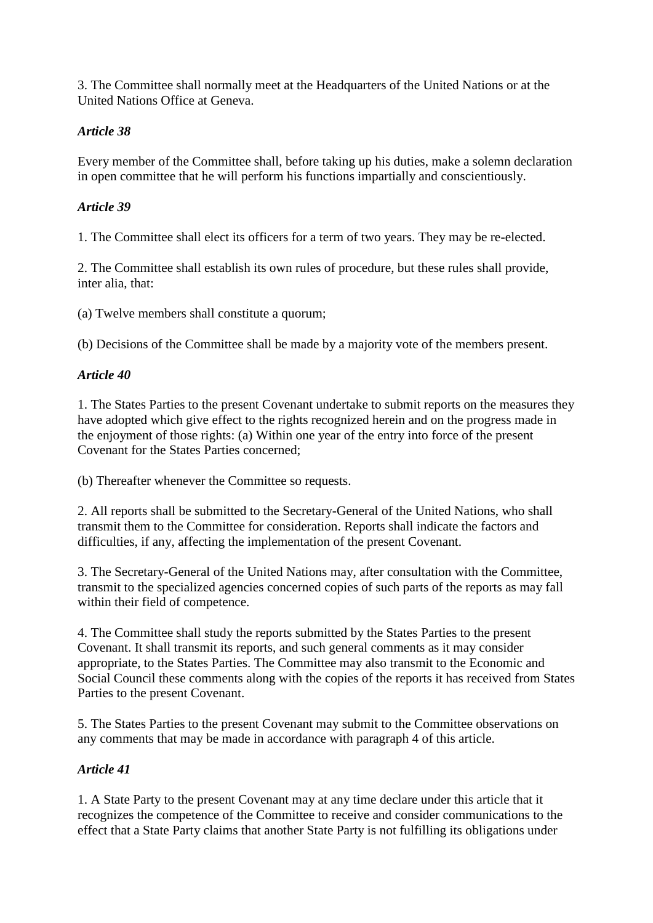3. The Committee shall normally meet at the Headquarters of the United Nations or at the United Nations Office at Geneva.

### *Article 38*

Every member of the Committee shall, before taking up his duties, make a solemn declaration in open committee that he will perform his functions impartially and conscientiously.

### *Article 39*

1. The Committee shall elect its officers for a term of two years. They may be re-elected.

2. The Committee shall establish its own rules of procedure, but these rules shall provide, inter alia, that:

(a) Twelve members shall constitute a quorum;

(b) Decisions of the Committee shall be made by a majority vote of the members present.

## *Article 40*

1. The States Parties to the present Covenant undertake to submit reports on the measures they have adopted which give effect to the rights recognized herein and on the progress made in the enjoyment of those rights: (a) Within one year of the entry into force of the present Covenant for the States Parties concerned;

(b) Thereafter whenever the Committee so requests.

2. All reports shall be submitted to the Secretary-General of the United Nations, who shall transmit them to the Committee for consideration. Reports shall indicate the factors and difficulties, if any, affecting the implementation of the present Covenant.

3. The Secretary-General of the United Nations may, after consultation with the Committee, transmit to the specialized agencies concerned copies of such parts of the reports as may fall within their field of competence.

4. The Committee shall study the reports submitted by the States Parties to the present Covenant. It shall transmit its reports, and such general comments as it may consider appropriate, to the States Parties. The Committee may also transmit to the Economic and Social Council these comments along with the copies of the reports it has received from States Parties to the present Covenant.

5. The States Parties to the present Covenant may submit to the Committee observations on any comments that may be made in accordance with paragraph 4 of this article.

### *Article 41*

1. A State Party to the present Covenant may at any time declare under this article that it recognizes the competence of the Committee to receive and consider communications to the effect that a State Party claims that another State Party is not fulfilling its obligations under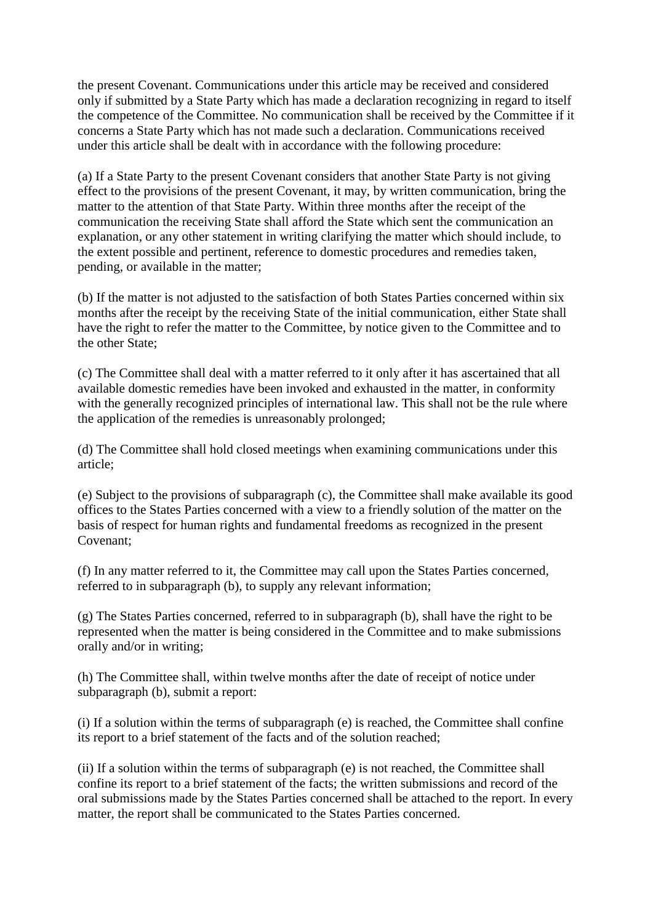the present Covenant. Communications under this article may be received and considered only if submitted by a State Party which has made a declaration recognizing in regard to itself the competence of the Committee. No communication shall be received by the Committee if it concerns a State Party which has not made such a declaration. Communications received under this article shall be dealt with in accordance with the following procedure:

(a) If a State Party to the present Covenant considers that another State Party is not giving effect to the provisions of the present Covenant, it may, by written communication, bring the matter to the attention of that State Party. Within three months after the receipt of the communication the receiving State shall afford the State which sent the communication an explanation, or any other statement in writing clarifying the matter which should include, to the extent possible and pertinent, reference to domestic procedures and remedies taken, pending, or available in the matter;

(b) If the matter is not adjusted to the satisfaction of both States Parties concerned within six months after the receipt by the receiving State of the initial communication, either State shall have the right to refer the matter to the Committee, by notice given to the Committee and to the other State;

(c) The Committee shall deal with a matter referred to it only after it has ascertained that all available domestic remedies have been invoked and exhausted in the matter, in conformity with the generally recognized principles of international law. This shall not be the rule where the application of the remedies is unreasonably prolonged;

(d) The Committee shall hold closed meetings when examining communications under this article;

(e) Subject to the provisions of subparagraph (c), the Committee shall make available its good offices to the States Parties concerned with a view to a friendly solution of the matter on the basis of respect for human rights and fundamental freedoms as recognized in the present Covenant;

(f) In any matter referred to it, the Committee may call upon the States Parties concerned, referred to in subparagraph (b), to supply any relevant information;

(g) The States Parties concerned, referred to in subparagraph (b), shall have the right to be represented when the matter is being considered in the Committee and to make submissions orally and/or in writing;

(h) The Committee shall, within twelve months after the date of receipt of notice under subparagraph (b), submit a report:

(i) If a solution within the terms of subparagraph (e) is reached, the Committee shall confine its report to a brief statement of the facts and of the solution reached;

(ii) If a solution within the terms of subparagraph (e) is not reached, the Committee shall confine its report to a brief statement of the facts; the written submissions and record of the oral submissions made by the States Parties concerned shall be attached to the report. In every matter, the report shall be communicated to the States Parties concerned.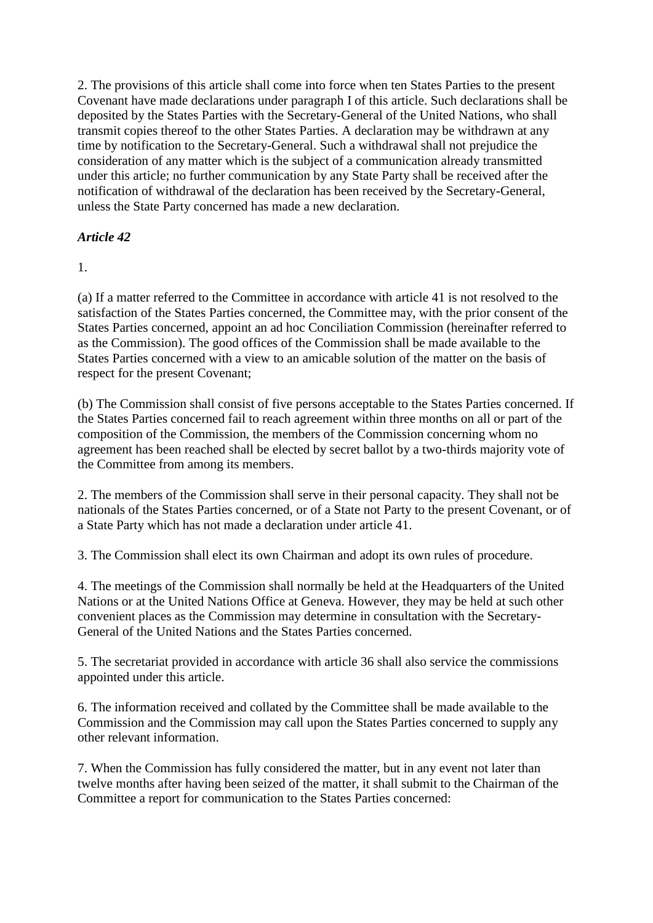2. The provisions of this article shall come into force when ten States Parties to the present Covenant have made declarations under paragraph I of this article. Such declarations shall be deposited by the States Parties with the Secretary-General of the United Nations, who shall transmit copies thereof to the other States Parties. A declaration may be withdrawn at any time by notification to the Secretary-General. Such a withdrawal shall not prejudice the consideration of any matter which is the subject of a communication already transmitted under this article; no further communication by any State Party shall be received after the notification of withdrawal of the declaration has been received by the Secretary-General, unless the State Party concerned has made a new declaration.

## *Article 42*

1.

(a) If a matter referred to the Committee in accordance with article 41 is not resolved to the satisfaction of the States Parties concerned, the Committee may, with the prior consent of the States Parties concerned, appoint an ad hoc Conciliation Commission (hereinafter referred to as the Commission). The good offices of the Commission shall be made available to the States Parties concerned with a view to an amicable solution of the matter on the basis of respect for the present Covenant;

(b) The Commission shall consist of five persons acceptable to the States Parties concerned. If the States Parties concerned fail to reach agreement within three months on all or part of the composition of the Commission, the members of the Commission concerning whom no agreement has been reached shall be elected by secret ballot by a two-thirds majority vote of the Committee from among its members.

2. The members of the Commission shall serve in their personal capacity. They shall not be nationals of the States Parties concerned, or of a State not Party to the present Covenant, or of a State Party which has not made a declaration under article 41.

3. The Commission shall elect its own Chairman and adopt its own rules of procedure.

4. The meetings of the Commission shall normally be held at the Headquarters of the United Nations or at the United Nations Office at Geneva. However, they may be held at such other convenient places as the Commission may determine in consultation with the Secretary-General of the United Nations and the States Parties concerned.

5. The secretariat provided in accordance with article 36 shall also service the commissions appointed under this article.

6. The information received and collated by the Committee shall be made available to the Commission and the Commission may call upon the States Parties concerned to supply any other relevant information.

7. When the Commission has fully considered the matter, but in any event not later than twelve months after having been seized of the matter, it shall submit to the Chairman of the Committee a report for communication to the States Parties concerned: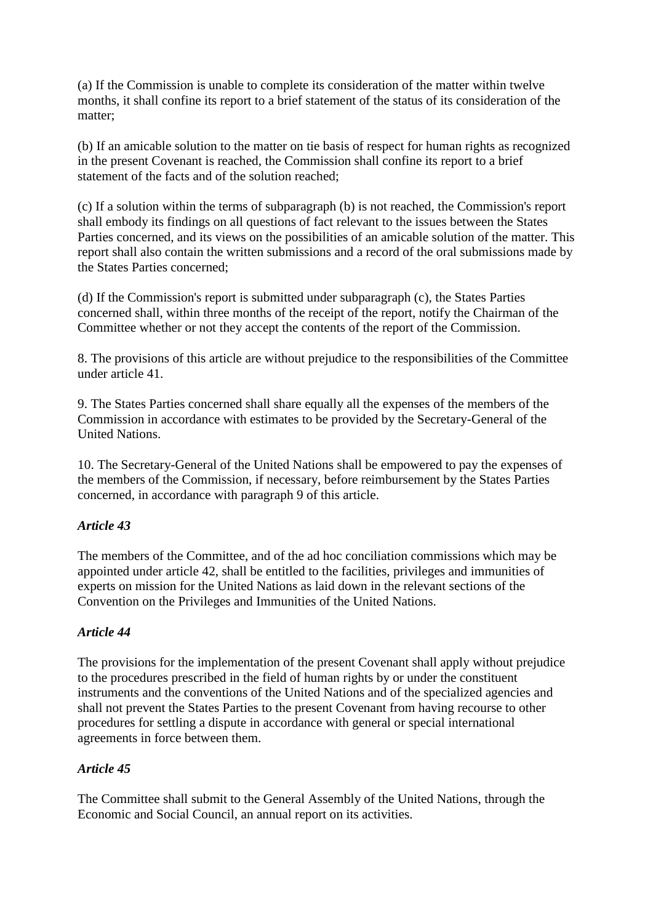(a) If the Commission is unable to complete its consideration of the matter within twelve months, it shall confine its report to a brief statement of the status of its consideration of the matter;

(b) If an amicable solution to the matter on tie basis of respect for human rights as recognized in the present Covenant is reached, the Commission shall confine its report to a brief statement of the facts and of the solution reached;

(c) If a solution within the terms of subparagraph (b) is not reached, the Commission's report shall embody its findings on all questions of fact relevant to the issues between the States Parties concerned, and its views on the possibilities of an amicable solution of the matter. This report shall also contain the written submissions and a record of the oral submissions made by the States Parties concerned;

(d) If the Commission's report is submitted under subparagraph (c), the States Parties concerned shall, within three months of the receipt of the report, notify the Chairman of the Committee whether or not they accept the contents of the report of the Commission.

8. The provisions of this article are without prejudice to the responsibilities of the Committee under article 41.

9. The States Parties concerned shall share equally all the expenses of the members of the Commission in accordance with estimates to be provided by the Secretary-General of the United Nations.

10. The Secretary-General of the United Nations shall be empowered to pay the expenses of the members of the Commission, if necessary, before reimbursement by the States Parties concerned, in accordance with paragraph 9 of this article.

### *Article 43*

The members of the Committee, and of the ad hoc conciliation commissions which may be appointed under article 42, shall be entitled to the facilities, privileges and immunities of experts on mission for the United Nations as laid down in the relevant sections of the Convention on the Privileges and Immunities of the United Nations.

### *Article 44*

The provisions for the implementation of the present Covenant shall apply without prejudice to the procedures prescribed in the field of human rights by or under the constituent instruments and the conventions of the United Nations and of the specialized agencies and shall not prevent the States Parties to the present Covenant from having recourse to other procedures for settling a dispute in accordance with general or special international agreements in force between them.

### *Article 45*

The Committee shall submit to the General Assembly of the United Nations, through the Economic and Social Council, an annual report on its activities.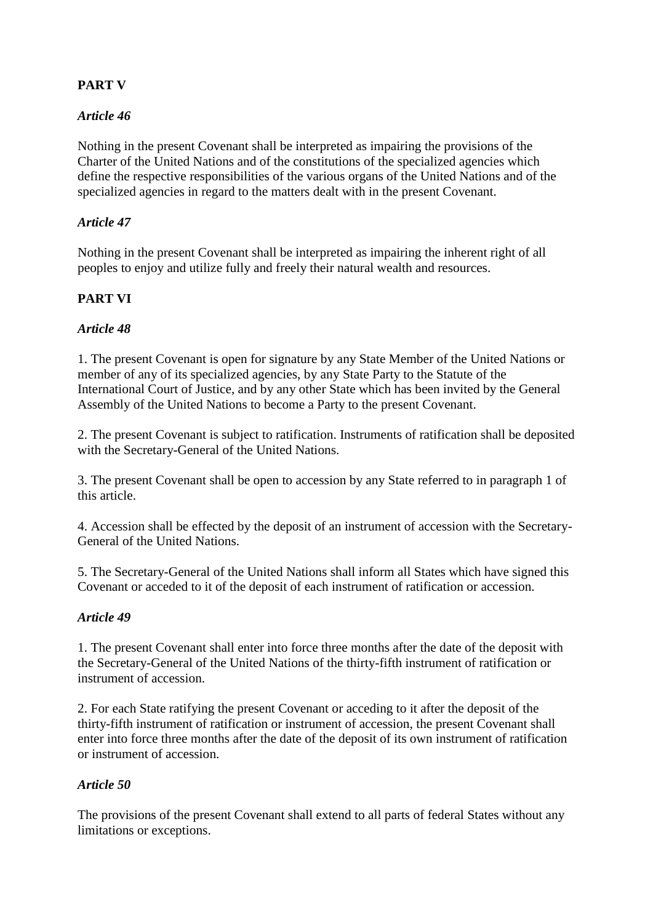## **PART V**

## *Article 46*

Nothing in the present Covenant shall be interpreted as impairing the provisions of the Charter of the United Nations and of the constitutions of the specialized agencies which define the respective responsibilities of the various organs of the United Nations and of the specialized agencies in regard to the matters dealt with in the present Covenant.

### *Article 47*

Nothing in the present Covenant shall be interpreted as impairing the inherent right of all peoples to enjoy and utilize fully and freely their natural wealth and resources.

### **PART VI**

### *Article 48*

1. The present Covenant is open for signature by any State Member of the United Nations or member of any of its specialized agencies, by any State Party to the Statute of the International Court of Justice, and by any other State which has been invited by the General Assembly of the United Nations to become a Party to the present Covenant.

2. The present Covenant is subject to ratification. Instruments of ratification shall be deposited with the Secretary-General of the United Nations.

3. The present Covenant shall be open to accession by any State referred to in paragraph 1 of this article.

4. Accession shall be effected by the deposit of an instrument of accession with the Secretary-General of the United Nations.

5. The Secretary-General of the United Nations shall inform all States which have signed this Covenant or acceded to it of the deposit of each instrument of ratification or accession.

#### *Article 49*

1. The present Covenant shall enter into force three months after the date of the deposit with the Secretary-General of the United Nations of the thirty-fifth instrument of ratification or instrument of accession.

2. For each State ratifying the present Covenant or acceding to it after the deposit of the thirty-fifth instrument of ratification or instrument of accession, the present Covenant shall enter into force three months after the date of the deposit of its own instrument of ratification or instrument of accession.

#### *Article 50*

The provisions of the present Covenant shall extend to all parts of federal States without any limitations or exceptions.